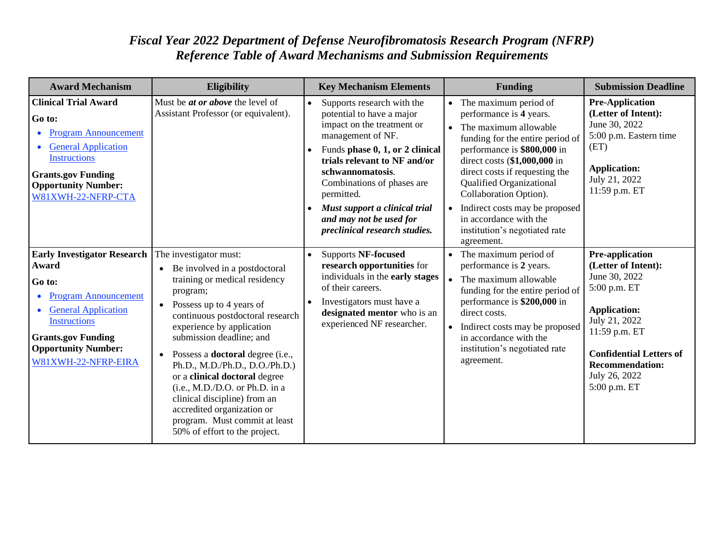## *Fiscal Year 2022 Department of Defense Neurofibromatosis Research Program (NFRP) Reference Table of Award Mechanisms and Submission Requirements*

| <b>Award Mechanism</b>                                                                                                                                                                                                      | <b>Eligibility</b>                                                                                                                                                                                                                                                                                                                                                                                                                                                                                                  | <b>Key Mechanism Elements</b>                                                                                                                                                                                                                                                                                                              | <b>Funding</b>                                                                                                                                                                                                                                                                                                                                                                                                                | <b>Submission Deadline</b>                                                                                                                                                                                                    |
|-----------------------------------------------------------------------------------------------------------------------------------------------------------------------------------------------------------------------------|---------------------------------------------------------------------------------------------------------------------------------------------------------------------------------------------------------------------------------------------------------------------------------------------------------------------------------------------------------------------------------------------------------------------------------------------------------------------------------------------------------------------|--------------------------------------------------------------------------------------------------------------------------------------------------------------------------------------------------------------------------------------------------------------------------------------------------------------------------------------------|-------------------------------------------------------------------------------------------------------------------------------------------------------------------------------------------------------------------------------------------------------------------------------------------------------------------------------------------------------------------------------------------------------------------------------|-------------------------------------------------------------------------------------------------------------------------------------------------------------------------------------------------------------------------------|
| <b>Clinical Trial Award</b><br>Go to:<br><b>Program Announcement</b><br><b>General Application</b><br><b>Instructions</b><br><b>Grants.gov Funding</b><br><b>Opportunity Number:</b><br>W81XWH-22-NFRP-CTA                  | Must be <i>at or above</i> the level of<br>Assistant Professor (or equivalent).                                                                                                                                                                                                                                                                                                                                                                                                                                     | Supports research with the<br>potential to have a major<br>impact on the treatment or<br>management of NF.<br>Funds phase 0, 1, or 2 clinical<br>trials relevant to NF and/or<br>schwannomatosis.<br>Combinations of phases are<br>permitted.<br>Must support a clinical trial<br>and may not be used for<br>preclinical research studies. | The maximum period of<br>$\bullet$<br>performance is 4 years.<br>The maximum allowable<br>$\bullet$<br>funding for the entire period of<br>performance is \$800,000 in<br>direct costs (\$1,000,000 in<br>direct costs if requesting the<br><b>Qualified Organizational</b><br>Collaboration Option).<br>Indirect costs may be proposed<br>$\bullet$<br>in accordance with the<br>institution's negotiated rate<br>agreement. | <b>Pre-Application</b><br>(Letter of Intent):<br>June 30, 2022<br>5:00 p.m. Eastern time<br>(ET)<br><b>Application:</b><br>July 21, 2022<br>11:59 p.m. ET                                                                     |
| <b>Early Investigator Research</b><br>Award<br>Go to:<br><b>Program Announcement</b><br><b>General Application</b><br><b>Instructions</b><br><b>Grants.gov Funding</b><br><b>Opportunity Number:</b><br>W81XWH-22-NFRP-EIRA | The investigator must:<br>• Be involved in a postdoctoral<br>training or medical residency<br>program;<br>• Possess up to 4 years of<br>continuous postdoctoral research<br>experience by application<br>submission deadline; and<br>• Possess a <b>doctoral</b> degree (i.e.,<br>Ph.D., M.D./Ph.D., D.O./Ph.D.)<br>or a clinical doctoral degree<br>(i.e., M.D./D.O. or Ph.D. in a<br>clinical discipline) from an<br>accredited organization or<br>program. Must commit at least<br>50% of effort to the project. | <b>Supports NF-focused</b><br>research opportunities for<br>individuals in the early stages<br>of their careers.<br>Investigators must have a<br>designated mentor who is an<br>experienced NF researcher.                                                                                                                                 | The maximum period of<br>$\bullet$<br>performance is 2 years.<br>The maximum allowable<br>$\bullet$<br>funding for the entire period of<br>performance is \$200,000 in<br>direct costs.<br>Indirect costs may be proposed<br>$\bullet$<br>in accordance with the<br>institution's negotiated rate<br>agreement.                                                                                                               | Pre-application<br>(Letter of Intent):<br>June 30, 2022<br>5:00 p.m. ET<br><b>Application:</b><br>July 21, 2022<br>11:59 p.m. ET<br><b>Confidential Letters of</b><br><b>Recommendation:</b><br>July 26, 2022<br>5:00 p.m. ET |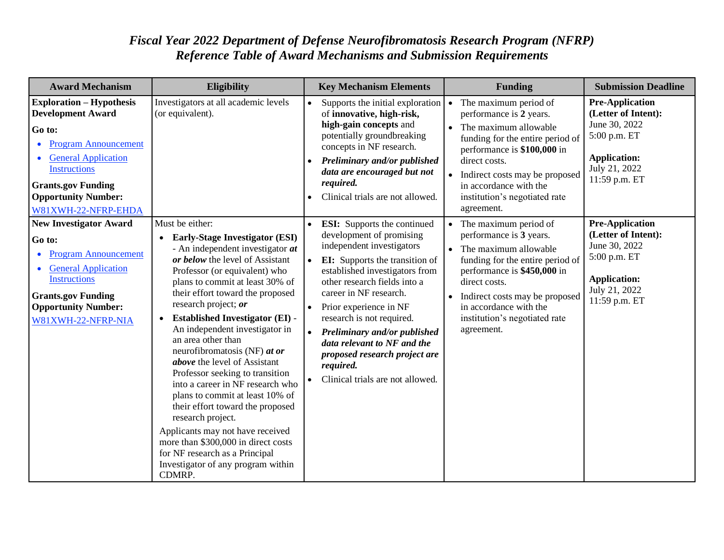## *Fiscal Year 2022 Department of Defense Neurofibromatosis Research Program (NFRP) Reference Table of Award Mechanisms and Submission Requirements*

| <b>Award Mechanism</b>                                                                                                                                                                                                                      | <b>Eligibility</b>                                                                                                                                                                                                                                                                                                                                                                                                                                                                                                                                                                                                                                                                                                                                                        | <b>Key Mechanism Elements</b>                                                                                                                                                                                                                                                                                                                                                                                                            | <b>Funding</b>                                                                                                                                                                                                                                                                                       | <b>Submission Deadline</b>                                                                                                              |
|---------------------------------------------------------------------------------------------------------------------------------------------------------------------------------------------------------------------------------------------|---------------------------------------------------------------------------------------------------------------------------------------------------------------------------------------------------------------------------------------------------------------------------------------------------------------------------------------------------------------------------------------------------------------------------------------------------------------------------------------------------------------------------------------------------------------------------------------------------------------------------------------------------------------------------------------------------------------------------------------------------------------------------|------------------------------------------------------------------------------------------------------------------------------------------------------------------------------------------------------------------------------------------------------------------------------------------------------------------------------------------------------------------------------------------------------------------------------------------|------------------------------------------------------------------------------------------------------------------------------------------------------------------------------------------------------------------------------------------------------------------------------------------------------|-----------------------------------------------------------------------------------------------------------------------------------------|
| <b>Exploration - Hypothesis</b><br><b>Development Award</b><br>Go to:<br><b>Program Announcement</b><br><b>General Application</b><br><b>Instructions</b><br><b>Grants.gov Funding</b><br><b>Opportunity Number:</b><br>W81XWH-22-NFRP-EHDA | Investigators at all academic levels<br>(or equivalent).                                                                                                                                                                                                                                                                                                                                                                                                                                                                                                                                                                                                                                                                                                                  | Supports the initial exploration<br>of innovative, high-risk,<br>high-gain concepts and<br>potentially groundbreaking<br>concepts in NF research.<br>Preliminary and/or published<br>data are encouraged but not<br>required.<br>Clinical trials are not allowed.                                                                                                                                                                        | The maximum period of<br>$\bullet$<br>performance is 2 years.<br>The maximum allowable<br>$\bullet$<br>funding for the entire period of<br>performance is \$100,000 in<br>direct costs.<br>• Indirect costs may be proposed<br>in accordance with the<br>institution's negotiated rate<br>agreement. | <b>Pre-Application</b><br>(Letter of Intent):<br>June 30, 2022<br>5:00 p.m. ET<br><b>Application:</b><br>July 21, 2022<br>11:59 p.m. ET |
| <b>New Investigator Award</b><br>Go to:<br><b>Program Announcement</b><br>۰<br><b>General Application</b><br><b>Instructions</b><br><b>Grants.gov Funding</b><br><b>Opportunity Number:</b><br>W81XWH-22-NFRP-NIA                           | Must be either:<br>• Early-Stage Investigator (ESI)<br>- An independent investigator at<br>or below the level of Assistant<br>Professor (or equivalent) who<br>plans to commit at least 30% of<br>their effort toward the proposed<br>research project; or<br><b>Established Investigator (EI) -</b><br>$\bullet$<br>An independent investigator in<br>an area other than<br>neurofibromatosis (NF) at or<br>above the level of Assistant<br>Professor seeking to transition<br>into a career in NF research who<br>plans to commit at least 10% of<br>their effort toward the proposed<br>research project.<br>Applicants may not have received<br>more than \$300,000 in direct costs<br>for NF research as a Principal<br>Investigator of any program within<br>CDMRP. | <b>ESI:</b> Supports the continued<br>development of promising<br>independent investigators<br><b>EI:</b> Supports the transition of<br>established investigators from<br>other research fields into a<br>career in NF research.<br>Prior experience in NF<br>research is not required.<br>Preliminary and/or published<br>data relevant to NF and the<br>proposed research project are<br>required.<br>Clinical trials are not allowed. | The maximum period of<br>$\bullet$<br>performance is 3 years.<br>The maximum allowable<br>$\bullet$<br>funding for the entire period of<br>performance is \$450,000 in<br>direct costs.<br>• Indirect costs may be proposed<br>in accordance with the<br>institution's negotiated rate<br>agreement. | <b>Pre-Application</b><br>(Letter of Intent):<br>June 30, 2022<br>5:00 p.m. ET<br><b>Application:</b><br>July 21, 2022<br>11:59 p.m. ET |